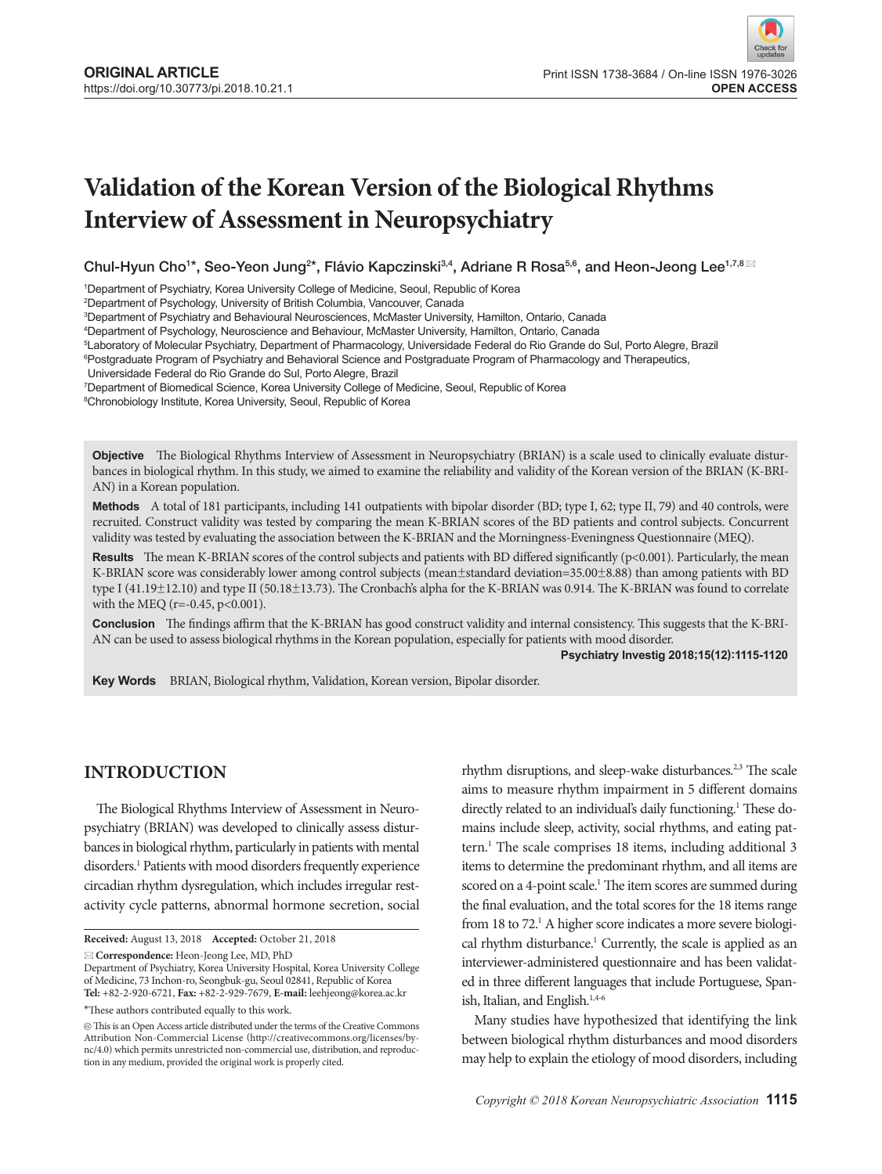# **Validation of the Korean Version of the Biological Rhythms Interview of Assessment in Neuropsychiatry**

Chul-Hyun Cho<sup>1\*</sup>, Seo-Yeon Jung<sup>2\*</sup>, Flávio Kapczinski<sup>3,4</sup>, Adriane R Rosa<sup>5,6</sup>, and Heon-Jeong Lee<sup>1,7,8</sup>

1 Department of Psychiatry, Korea University College of Medicine, Seoul, Republic of Korea

2 Department of Psychology, University of British Columbia, Vancouver, Canada

3 Department of Psychiatry and Behavioural Neurosciences, McMaster University, Hamilton, Ontario, Canada

4 Department of Psychology, Neuroscience and Behaviour, McMaster University, Hamilton, Ontario, Canada

5 Laboratory of Molecular Psychiatry, Department of Pharmacology, Universidade Federal do Rio Grande do Sul, Porto Alegre, Brazil

6 Postgraduate Program of Psychiatry and Behavioral Science and Postgraduate Program of Pharmacology and Therapeutics,

Universidade Federal do Rio Grande do Sul, Porto Alegre, Brazil

7 Department of Biomedical Science, Korea University College of Medicine, Seoul, Republic of Korea

8 Chronobiology Institute, Korea University, Seoul, Republic of Korea

**Objective** The Biological Rhythms Interview of Assessment in Neuropsychiatry (BRIAN) is a scale used to clinically evaluate disturbances in biological rhythm. In this study, we aimed to examine the reliability and validity of the Korean version of the BRIAN (K-BRI-AN) in a Korean population.

**Methods** A total of 181 participants, including 141 outpatients with bipolar disorder (BD; type I, 62; type II, 79) and 40 controls, were recruited. Construct validity was tested by comparing the mean K-BRIAN scores of the BD patients and control subjects. Concurrent validity was tested by evaluating the association between the K-BRIAN and the Morningness-Eveningness Questionnaire (MEQ).

**Results** The mean K-BRIAN scores of the control subjects and patients with BD differed significantly (p<0.001). Particularly, the mean K-BRIAN score was considerably lower among control subjects (mean±standard deviation=35.00±8.88) than among patients with BD type I (41.19±12.10) and type II (50.18±13.73). The Cronbach's alpha for the K-BRIAN was 0.914. The K-BRIAN was found to correlate with the MEQ (r=-0.45, p<0.001).

**Conclusion** The findings affirm that the K-BRIAN has good construct validity and internal consistency. This suggests that the K-BRI-AN can be used to assess biological rhythms in the Korean population, especially for patients with mood disorder.

#### **Psychiatry Investig 2018;15(12):1115-1120**

Key Words BRIAN, Biological rhythm, Validation, Korean version, Bipolar disorder.

## **Introduction**

The Biological Rhythms Interview of Assessment in Neuropsychiatry (BRIAN) was developed to clinically assess disturbances in biological rhythm, particularly in patients with mental disorders.<sup>1</sup> Patients with mood disorders frequently experience circadian rhythm dysregulation, which includes irregular restactivity cycle patterns, abnormal hormone secretion, social

**Correspondence:** Heon-Jeong Lee, MD, PhD

\*These authors contributed equally to this work.

rhythm disruptions, and sleep-wake disturbances.<sup>2,3</sup> The scale aims to measure rhythm impairment in 5 different domains directly related to an individual's daily functioning.<sup>1</sup> These domains include sleep, activity, social rhythms, and eating pattern.<sup>1</sup> The scale comprises 18 items, including additional 3 items to determine the predominant rhythm, and all items are scored on a 4-point scale.<sup>1</sup> The item scores are summed during the final evaluation, and the total scores for the 18 items range from 18 to 72.<sup>1</sup> A higher score indicates a more severe biological rhythm disturbance.<sup>1</sup> Currently, the scale is applied as an interviewer-administered questionnaire and has been validated in three different languages that include Portuguese, Spanish, Italian, and English.<sup>1,4-6</sup>

Many studies have hypothesized that identifying the link between biological rhythm disturbances and mood disorders may help to explain the etiology of mood disorders, including

**Received:** August 13, 2018 **Accepted:** October 21, 2018

Department of Psychiatry, Korea University Hospital, Korea University College of Medicine, 73 Inchon-ro, Seongbuk-gu, Seoul 02841, Republic of Korea **Tel:** +82-2-920-6721, **Fax:** +82-2-929-7679, **E-mail:** leehjeong@korea.ac.kr

 $\circledR$  This is an Open Access article distributed under the terms of the Creative Commons Attribution Non-Commercial License (http://creativecommons.org/licenses/bync/4.0) which permits unrestricted non-commercial use, distribution, and reproduction in any medium, provided the original work is properly cited.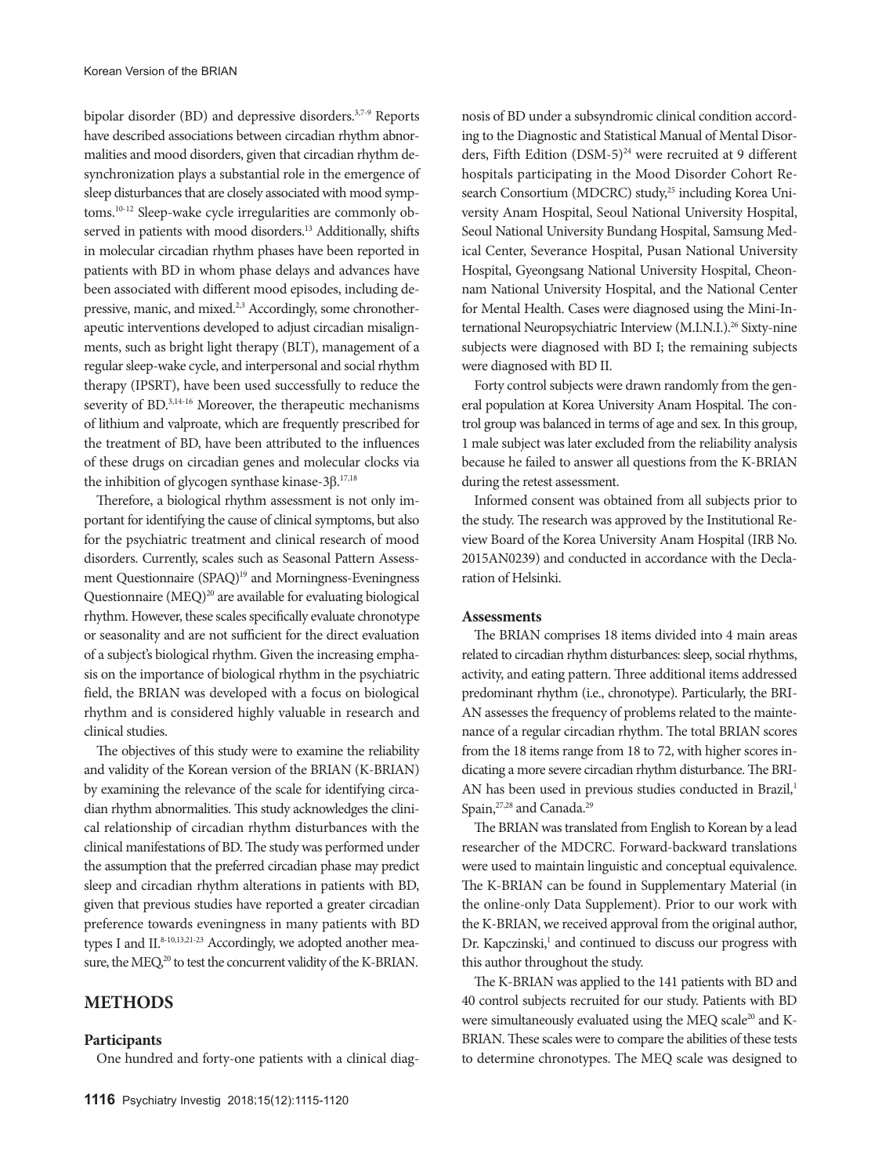bipolar disorder (BD) and depressive disorders.3,7-9 Reports have described associations between circadian rhythm abnormalities and mood disorders, given that circadian rhythm desynchronization plays a substantial role in the emergence of sleep disturbances that are closely associated with mood symptoms.10-12 Sleep-wake cycle irregularities are commonly observed in patients with mood disorders.<sup>13</sup> Additionally, shifts in molecular circadian rhythm phases have been reported in patients with BD in whom phase delays and advances have been associated with different mood episodes, including depressive, manic, and mixed.<sup>2,3</sup> Accordingly, some chronotherapeutic interventions developed to adjust circadian misalignments, such as bright light therapy (BLT), management of a regular sleep-wake cycle, and interpersonal and social rhythm therapy (IPSRT), have been used successfully to reduce the severity of BD.<sup>3,14-16</sup> Moreover, the therapeutic mechanisms of lithium and valproate, which are frequently prescribed for the treatment of BD, have been attributed to the influences of these drugs on circadian genes and molecular clocks via the inhibition of glycogen synthase kinase-3β.<sup>17,18</sup>

Therefore, a biological rhythm assessment is not only important for identifying the cause of clinical symptoms, but also for the psychiatric treatment and clinical research of mood disorders. Currently, scales such as Seasonal Pattern Assessment Questionnaire (SPAQ)<sup>19</sup> and Morningness-Eveningness Questionnaire  $(MEQ)^{20}$  are available for evaluating biological rhythm. However, these scales specifically evaluate chronotype or seasonality and are not sufficient for the direct evaluation of a subject's biological rhythm. Given the increasing emphasis on the importance of biological rhythm in the psychiatric field, the BRIAN was developed with a focus on biological rhythm and is considered highly valuable in research and clinical studies.

The objectives of this study were to examine the reliability and validity of the Korean version of the BRIAN (K-BRIAN) by examining the relevance of the scale for identifying circadian rhythm abnormalities. This study acknowledges the clinical relationship of circadian rhythm disturbances with the clinical manifestations of BD. The study was performed under the assumption that the preferred circadian phase may predict sleep and circadian rhythm alterations in patients with BD, given that previous studies have reported a greater circadian preference towards eveningness in many patients with BD types I and II.<sup>8-10,13,21-23</sup> Accordingly, we adopted another measure, the MEQ,<sup>20</sup> to test the concurrent validity of the K-BRIAN.

### **Methods**

#### **Participants**

One hundred and forty-one patients with a clinical diag-

nosis of BD under a subsyndromic clinical condition according to the Diagnostic and Statistical Manual of Mental Disorders, Fifth Edition  $(DSM-5)^{24}$  were recruited at 9 different hospitals participating in the Mood Disorder Cohort Research Consortium (MDCRC) study,<sup>25</sup> including Korea University Anam Hospital, Seoul National University Hospital, Seoul National University Bundang Hospital, Samsung Medical Center, Severance Hospital, Pusan National University Hospital, Gyeongsang National University Hospital, Cheonnam National University Hospital, and the National Center for Mental Health. Cases were diagnosed using the Mini-International Neuropsychiatric Interview (M.I.N.I.).<sup>26</sup> Sixty-nine subjects were diagnosed with BD I; the remaining subjects were diagnosed with BD II.

Forty control subjects were drawn randomly from the general population at Korea University Anam Hospital. The control group was balanced in terms of age and sex. In this group, 1 male subject was later excluded from the reliability analysis because he failed to answer all questions from the K-BRIAN during the retest assessment.

Informed consent was obtained from all subjects prior to the study. The research was approved by the Institutional Review Board of the Korea University Anam Hospital (IRB No. 2015AN0239) and conducted in accordance with the Declaration of Helsinki.

#### **Assessments**

The BRIAN comprises 18 items divided into 4 main areas related to circadian rhythm disturbances: sleep, social rhythms, activity, and eating pattern. Three additional items addressed predominant rhythm (i.e., chronotype). Particularly, the BRI-AN assesses the frequency of problems related to the maintenance of a regular circadian rhythm. The total BRIAN scores from the 18 items range from 18 to 72, with higher scores indicating a more severe circadian rhythm disturbance. The BRI-AN has been used in previous studies conducted in Brazil,<sup>1</sup> Spain, <sup>27,28</sup> and Canada.<sup>29</sup>

The BRIAN was translated from English to Korean by a lead researcher of the MDCRC. Forward-backward translations were used to maintain linguistic and conceptual equivalence. The K-BRIAN can be found in Supplementary Material (in the online-only Data Supplement). Prior to our work with the K-BRIAN, we received approval from the original author, Dr. Kapczinski,<sup>1</sup> and continued to discuss our progress with this author throughout the study.

The K-BRIAN was applied to the 141 patients with BD and 40 control subjects recruited for our study. Patients with BD were simultaneously evaluated using the MEQ scale<sup>20</sup> and K-BRIAN. These scales were to compare the abilities of these tests to determine chronotypes. The MEQ scale was designed to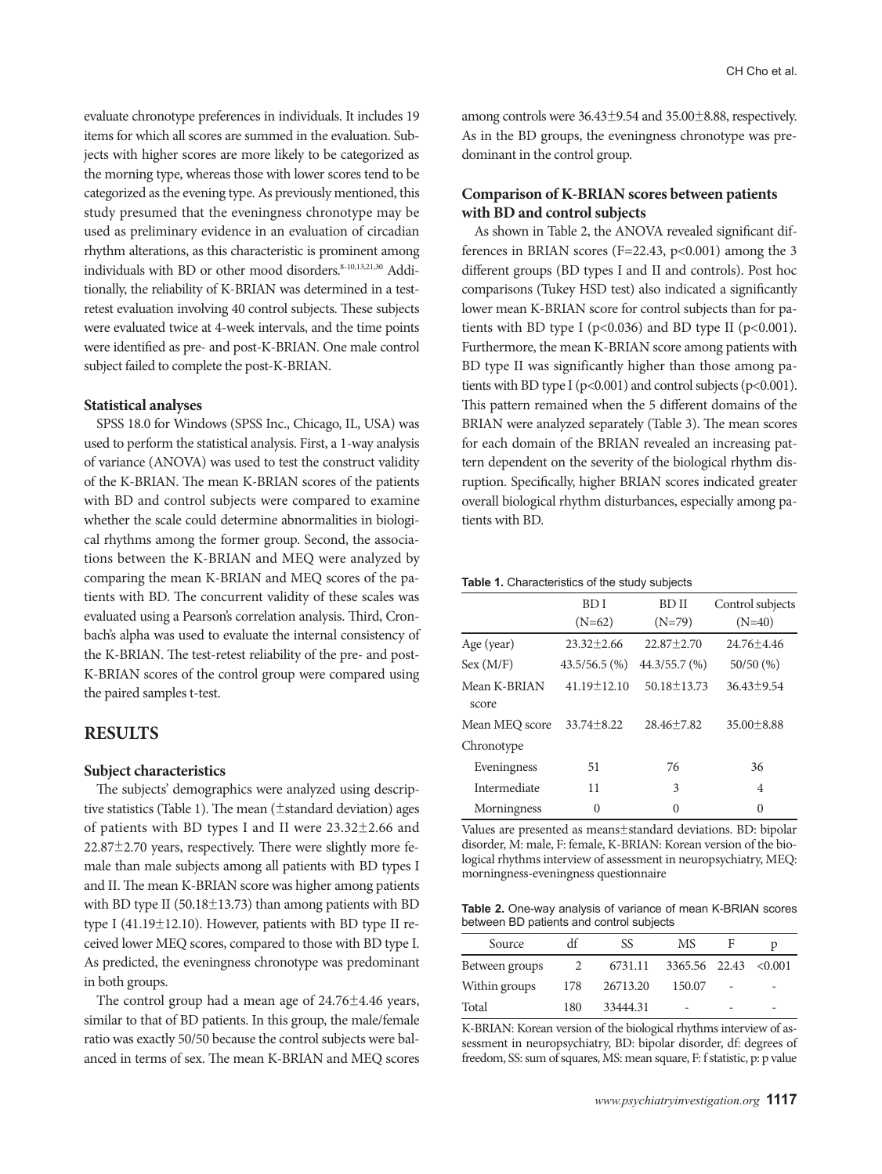evaluate chronotype preferences in individuals. It includes 19 items for which all scores are summed in the evaluation. Subjects with higher scores are more likely to be categorized as the morning type, whereas those with lower scores tend to be categorized as the evening type. As previously mentioned, this study presumed that the eveningness chronotype may be used as preliminary evidence in an evaluation of circadian rhythm alterations, as this characteristic is prominent among individuals with BD or other mood disorders.<sup>8-10,13,21,30</sup> Additionally, the reliability of K-BRIAN was determined in a testretest evaluation involving 40 control subjects. These subjects were evaluated twice at 4-week intervals, and the time points were identified as pre- and post-K-BRIAN. One male control subject failed to complete the post-K-BRIAN.

#### **Statistical analyses**

SPSS 18.0 for Windows (SPSS Inc., Chicago, IL, USA) was used to perform the statistical analysis. First, a 1-way analysis of variance (ANOVA) was used to test the construct validity of the K-BRIAN. The mean K-BRIAN scores of the patients with BD and control subjects were compared to examine whether the scale could determine abnormalities in biological rhythms among the former group. Second, the associations between the K-BRIAN and MEQ were analyzed by comparing the mean K-BRIAN and MEQ scores of the patients with BD. The concurrent validity of these scales was evaluated using a Pearson's correlation analysis. Third, Cronbach's alpha was used to evaluate the internal consistency of the K-BRIAN. The test-retest reliability of the pre- and post-K-BRIAN scores of the control group were compared using the paired samples t-test.

## **Results**

#### **Subject characteristics**

The subjects' demographics were analyzed using descriptive statistics (Table 1). The mean (±standard deviation) ages of patients with BD types I and II were 23.32±2.66 and 22.87±2.70 years, respectively. There were slightly more female than male subjects among all patients with BD types I and II. The mean K-BRIAN score was higher among patients with BD type II (50.18 $\pm$ 13.73) than among patients with BD type I (41.19±12.10). However, patients with BD type II received lower MEQ scores, compared to those with BD type I. As predicted, the eveningness chronotype was predominant in both groups.

The control group had a mean age of  $24.76 \pm 4.46$  years, similar to that of BD patients. In this group, the male/female ratio was exactly 50/50 because the control subjects were balanced in terms of sex. The mean K-BRIAN and MEQ scores among controls were 36.43±9.54 and 35.00±8.88, respectively. As in the BD groups, the eveningness chronotype was predominant in the control group.

## **Comparison of K-BRIAN scores between patients with BD and control subjects**

As shown in Table 2, the ANOVA revealed significant differences in BRIAN scores (F=22.43,  $p<0.001$ ) among the 3 different groups (BD types I and II and controls). Post hoc comparisons (Tukey HSD test) also indicated a significantly lower mean K-BRIAN score for control subjects than for patients with BD type I ( $p<0.036$ ) and BD type II ( $p<0.001$ ). Furthermore, the mean K-BRIAN score among patients with BD type II was significantly higher than those among patients with BD type I ( $p<0.001$ ) and control subjects ( $p<0.001$ ). This pattern remained when the 5 different domains of the BRIAN were analyzed separately (Table 3). The mean scores for each domain of the BRIAN revealed an increasing pattern dependent on the severity of the biological rhythm disruption. Specifically, higher BRIAN scores indicated greater overall biological rhythm disturbances, especially among patients with BD.

#### **Table 1.** Characteristics of the study subjects

|                       | <b>BDI</b>        | <b>BDII</b>       | Control subjects |
|-----------------------|-------------------|-------------------|------------------|
|                       | $(N=62)$          | $(N=79)$          | $(N=40)$         |
| Age (year)            | $23.32 \pm 2.66$  | $22.87 \pm 2.70$  | $24.76 \pm 4.46$ |
| Sex (M/F)             | $43.5/56.5$ (%)   | $44.3/55.7$ (%)   | 50/50(%)         |
| Mean K-BRIAN<br>score | $41.19 \pm 12.10$ | $50.18 \pm 13.73$ | $36.43 \pm 9.54$ |
| Mean MEO score        | $33.74 \pm 8.22$  | $28.46 \pm 7.82$  | $35.00 \pm 8.88$ |
| Chronotype            |                   |                   |                  |
| Eveningness           | 51                | 76                | 36               |
| Intermediate          | 11                | 3                 | $\overline{4}$   |
| Morningness           | 0                 | 0                 | $\Omega$         |

Values are presented as means±standard deviations. BD: bipolar disorder, M: male, F: female, K-BRIAN: Korean version of the biological rhythms interview of assessment in neuropsychiatry, MEQ: morningness-eveningness questionnaire

**Table 2.** One-way analysis of variance of mean K-BRIAN scores between BD patients and control subjects

| Source         | df  | SS       | МS            | F |         |
|----------------|-----|----------|---------------|---|---------|
| Between groups |     | 6731.11  | 3365.56 22.43 |   | < 0.001 |
| Within groups  | 178 | 26713.20 | 150.07        |   |         |
| Total          | 180 | 33444.31 | -             |   |         |

K-BRIAN: Korean version of the biological rhythms interview of assessment in neuropsychiatry, BD: bipolar disorder, df: degrees of freedom, SS: sum of squares, MS: mean square, F: f statistic, p: p value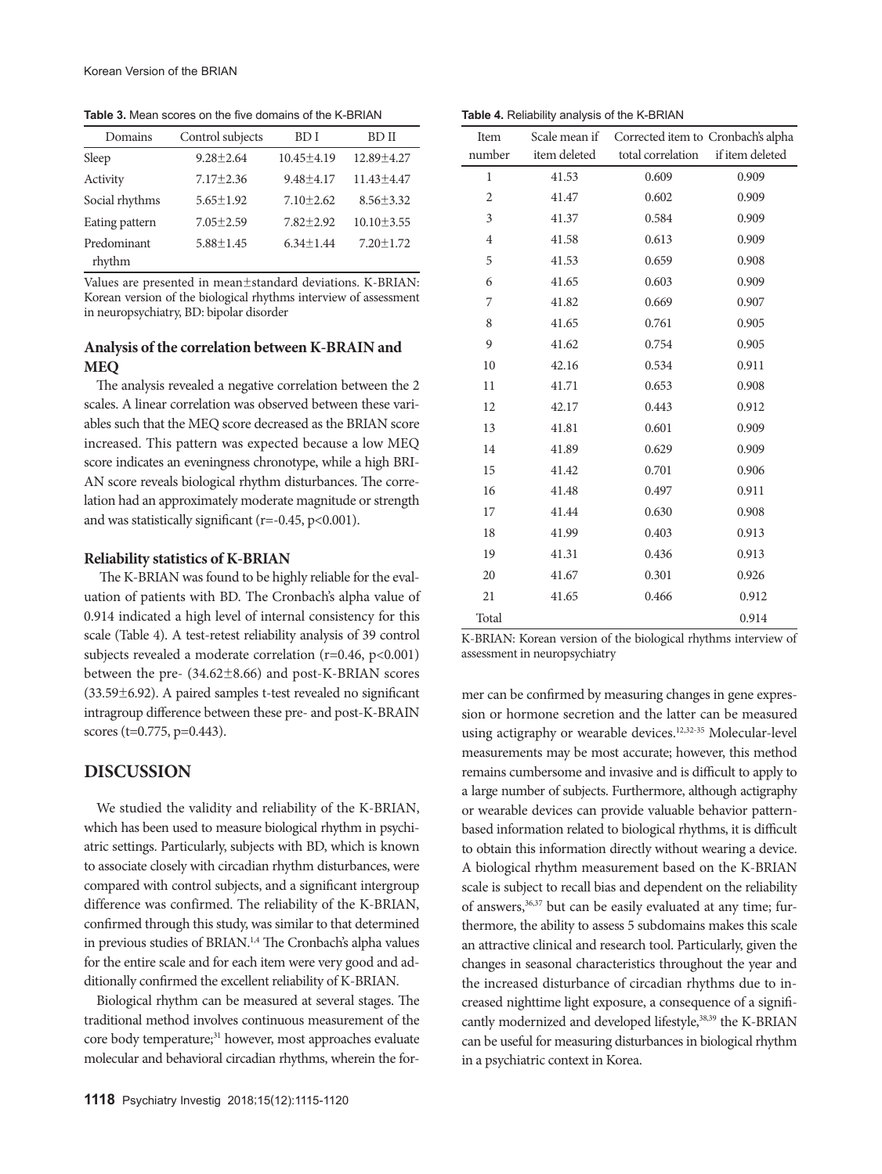**Table 3.** Mean scores on the five domains of the K-BRIAN

| Domains               | Control subjects | BD I             | BD II            |
|-----------------------|------------------|------------------|------------------|
| Sleep                 | $9.28 + 2.64$    | $10.45 \pm 4.19$ | 12.89 ± 4.27     |
| Activity              | $7.17 + 2.36$    | $9.48 \pm 4.17$  | $11.43 \pm 4.47$ |
| Social rhythms        | $5.65 \pm 1.92$  | $7.10 \pm 2.62$  | $8.56 \pm 3.32$  |
| Eating pattern        | $7.05 \pm 2.59$  | $7.82 + 2.92$    | $10.10 \pm 3.55$ |
| Predominant<br>rhythm | $5.88 \pm 1.45$  | $6.34 \pm 1.44$  | $7.20 \pm 1.72$  |

Values are presented in mean±standard deviations. K-BRIAN: Korean version of the biological rhythms interview of assessment in neuropsychiatry, BD: bipolar disorder

## **Analysis of the correlation between K-BRAIN and MEQ**

The analysis revealed a negative correlation between the 2 scales. A linear correlation was observed between these variables such that the MEQ score decreased as the BRIAN score increased. This pattern was expected because a low MEQ score indicates an eveningness chronotype, while a high BRI-AN score reveals biological rhythm disturbances. The correlation had an approximately moderate magnitude or strength and was statistically significant ( $r=-0.45$ ,  $p<0.001$ ).

#### **Reliability statistics of K-BRIAN**

 The K-BRIAN was found to be highly reliable for the evaluation of patients with BD. The Cronbach's alpha value of 0.914 indicated a high level of internal consistency for this scale (Table 4). A test-retest reliability analysis of 39 control subjects revealed a moderate correlation (r=0.46, p<0.001) between the pre- (34.62±8.66) and post-K-BRIAN scores (33.59±6.92). A paired samples t-test revealed no significant intragroup difference between these pre- and post-K-BRAIN scores (t=0.775, p=0.443).

## **Discussion**

We studied the validity and reliability of the K-BRIAN, which has been used to measure biological rhythm in psychiatric settings. Particularly, subjects with BD, which is known to associate closely with circadian rhythm disturbances, were compared with control subjects, and a significant intergroup difference was confirmed. The reliability of the K-BRIAN, confirmed through this study, was similar to that determined in previous studies of BRIAN.<sup>1,4</sup> The Cronbach's alpha values for the entire scale and for each item were very good and additionally confirmed the excellent reliability of K-BRIAN.

Biological rhythm can be measured at several stages. The traditional method involves continuous measurement of the core body temperature;<sup>31</sup> however, most approaches evaluate molecular and behavioral circadian rhythms, wherein the for-

| Item           |              | Scale mean if Corrected item to Cronbach's alpha |                 |
|----------------|--------------|--------------------------------------------------|-----------------|
| number         | item deleted | total correlation                                | if item deleted |
| $\mathbf{1}$   | 41.53        | 0.609                                            | 0.909           |
| $\overline{c}$ | 41.47        | 0.602                                            | 0.909           |
| 3              | 41.37        | 0.584                                            | 0.909           |
| 4              | 41.58        | 0.613                                            | 0.909           |
| 5              | 41.53        | 0.659                                            | 0.908           |
| 6              | 41.65        | 0.603                                            | 0.909           |
| 7              | 41.82        | 0.669                                            | 0.907           |
| 8              | 41.65        | 0.761                                            | 0.905           |
| 9              | 41.62        | 0.754                                            | 0.905           |
| 10             | 42.16        | 0.534                                            | 0.911           |
| 11             | 41.71        | 0.653                                            | 0.908           |
| 12             | 42.17        | 0.443                                            | 0.912           |
| 13             | 41.81        | 0.601                                            | 0.909           |
| 14             | 41.89        | 0.629                                            | 0.909           |
| 15             | 41.42        | 0.701                                            | 0.906           |
| 16             | 41.48        | 0.497                                            | 0.911           |
| 17             | 41.44        | 0.630                                            | 0.908           |
| 18             | 41.99        | 0.403                                            | 0.913           |
| 19             | 41.31        | 0.436                                            | 0.913           |
| 20             | 41.67        | 0.301                                            | 0.926           |
| 21             | 41.65        | 0.466                                            | 0.912           |
| Total          |              |                                                  | 0.914           |

**Table 4.** Reliability analysis of the K-BRIAN

K-BRIAN: Korean version of the biological rhythms interview of assessment in neuropsychiatry

mer can be confirmed by measuring changes in gene expression or hormone secretion and the latter can be measured using actigraphy or wearable devices.<sup>12,32-35</sup> Molecular-level measurements may be most accurate; however, this method remains cumbersome and invasive and is difficult to apply to a large number of subjects. Furthermore, although actigraphy or wearable devices can provide valuable behavior patternbased information related to biological rhythms, it is difficult to obtain this information directly without wearing a device. A biological rhythm measurement based on the K-BRIAN scale is subject to recall bias and dependent on the reliability of answers,<sup>36,37</sup> but can be easily evaluated at any time; furthermore, the ability to assess 5 subdomains makes this scale an attractive clinical and research tool. Particularly, given the changes in seasonal characteristics throughout the year and the increased disturbance of circadian rhythms due to increased nighttime light exposure, a consequence of a significantly modernized and developed lifestyle,<sup>38,39</sup> the K-BRIAN can be useful for measuring disturbances in biological rhythm in a psychiatric context in Korea.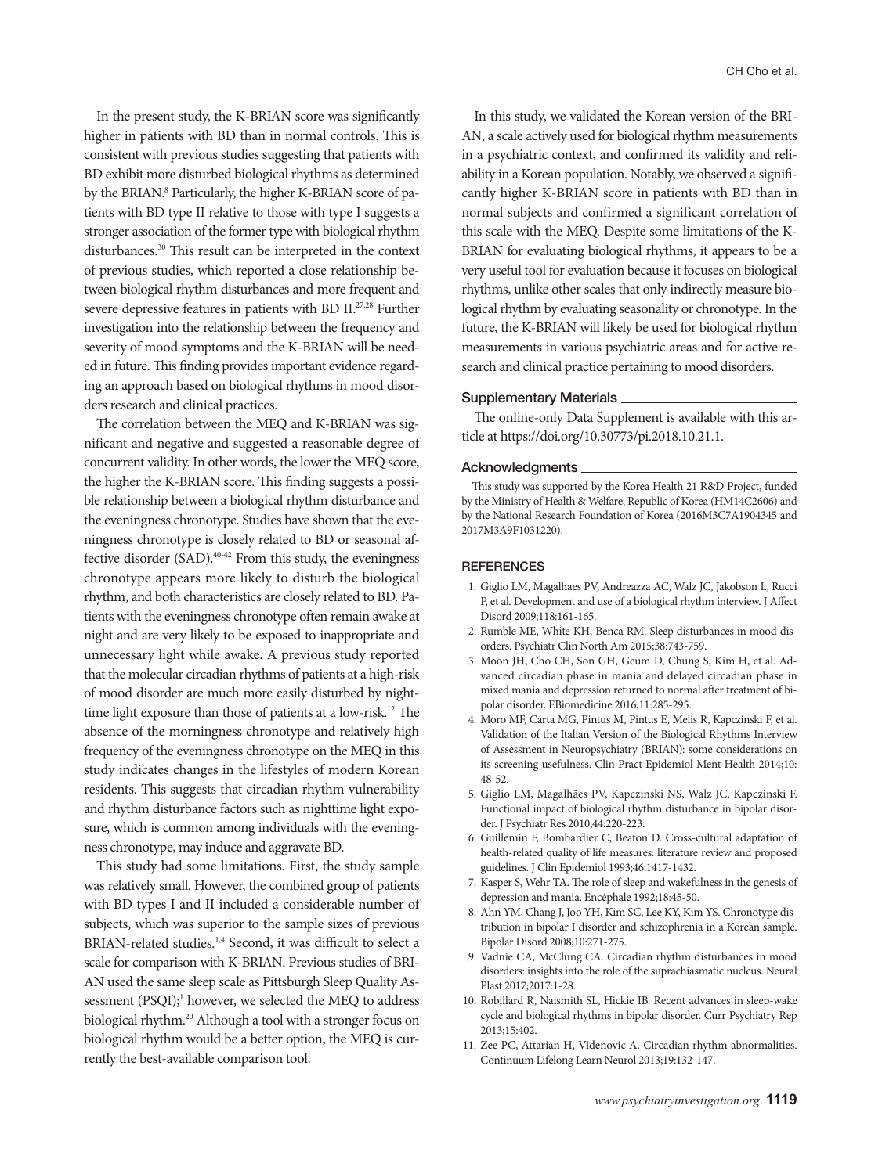In the present study, the K-BRIAN score was significantly higher in patients with BD than in normal controls. This is consistent with previous studies suggesting that patients with BD exhibit more disturbed biological rhythms as determined by the BRIAN.<sup>8</sup> Particularly, the higher K-BRIAN score of patients with BD type II relative to those with type I suggests a stronger association of the former type with biological rhythm disturbances.30 This result can be interpreted in the context of previous studies, which reported a close relationship between biological rhythm disturbances and more frequent and severe depressive features in patients with BD II.<sup>27,28</sup> Further investigation into the relationship between the frequency and severity of mood symptoms and the K-BRIAN will be needed in future. This finding provides important evidence regarding an approach based on biological rhythms in mood disorders research and clinical practices.

The correlation between the MEQ and K-BRIAN was significant and negative and suggested a reasonable degree of concurrent validity. In other words, the lower the MEQ score, the higher the K-BRIAN score. This finding suggests a possible relationship between a biological rhythm disturbance and the eveningness chronotype. Studies have shown that the eveningness chronotype is closely related to BD or seasonal affective disorder (SAD).40-42 From this study, the eveningness chronotype appears more likely to disturb the biological rhythm, and both characteristics are closely related to BD. Patients with the eveningness chronotype often remain awake at night and are very likely to be exposed to inappropriate and unnecessary light while awake. A previous study reported that the molecular circadian rhythms of patients at a high-risk of mood disorder are much more easily disturbed by nighttime light exposure than those of patients at a low-risk.12 The absence of the morningness chronotype and relatively high frequency of the eveningness chronotype on the MEQ in this study indicates changes in the lifestyles of modern Korean residents. This suggests that circadian rhythm vulnerability and rhythm disturbance factors such as nighttime light exposure, which is common among individuals with the eveningness chronotype, may induce and aggravate BD.

This study had some limitations. First, the study sample was relatively small. However, the combined group of patients with BD types I and II included a considerable number of subjects, which was superior to the sample sizes of previous BRIAN-related studies.1,4 Second, it was difficult to select a scale for comparison with K-BRIAN. Previous studies of BRI-AN used the same sleep scale as Pittsburgh Sleep Quality Assessment (PSQI);<sup>1</sup> however, we selected the MEQ to address biological rhythm.<sup>20</sup> Although a tool with a stronger focus on biological rhythm would be a better option, the MEQ is currently the best-available comparison tool.

In this study, we validated the Korean version of the BRI-AN, a scale actively used for biological rhythm measurements in a psychiatric context, and confirmed its validity and reliability in a Korean population. Notably, we observed a significantly higher K-BRIAN score in patients with BD than in normal subjects and confirmed a significant correlation of this scale with the MEQ. Despite some limitations of the K-BRIAN for evaluating biological rhythms, it appears to be a very useful tool for evaluation because it focuses on biological rhythms, unlike other scales that only indirectly measure biological rhythm by evaluating seasonality or chronotype. In the future, the K-BRIAN will likely be used for biological rhythm measurements in various psychiatric areas and for active research and clinical practice pertaining to mood disorders.

#### Supplementary Materials

The online-only Data Supplement is available with this article at https://doi.org/10.30773/pi.2018.10.21.1.

#### Acknowledgments

This study was supported by the Korea Health 21 R&D Project, funded by the Ministry of Health & Welfare, Republic of Korea (HM14C2606) and by the National Research Foundation of Korea (2016M3C7A1904345 and 2017M3A9F1031220).

#### **REFERENCES**

- 1. Giglio LM, Magalhaes PV, Andreazza AC, Walz JC, Jakobson L, Rucci P, et al. Development and use of a biological rhythm interview. J Affect Disord 2009;118:161-165.
- 2. Rumble ME, White KH, Benca RM. Sleep disturbances in mood disorders. Psychiatr Clin North Am 2015;38:743-759.
- 3. Moon JH, Cho CH, Son GH, Geum D, Chung S, Kim H, et al. Advanced circadian phase in mania and delayed circadian phase in mixed mania and depression returned to normal after treatment of bipolar disorder. EBiomedicine 2016;11:285-295.
- 4. Moro MF, Carta MG, Pintus M, Pintus E, Melis R, Kapczinski F, et al. Validation of the Italian Version of the Biological Rhythms Interview of Assessment in Neuropsychiatry (BRIAN): some considerations on its screening usefulness. Clin Pract Epidemiol Ment Health 2014;10: 48-52.
- 5. Giglio LM, Magalhães PV, Kapczinski NS, Walz JC, Kapczinski F. Functional impact of biological rhythm disturbance in bipolar disorder. J Psychiatr Res 2010;44:220-223.
- 6. Guillemin F, Bombardier C, Beaton D. Cross-cultural adaptation of health-related quality of life measures: literature review and proposed guidelines. J Clin Epidemiol 1993;46:1417-1432.
- 7. Kasper S, Wehr TA. The role of sleep and wakefulness in the genesis of depression and mania. Encéphale 1992;18:45-50.
- 8. Ahn YM, Chang J, Joo YH, Kim SC, Lee KY, Kim YS. Chronotype distribution in bipolar I disorder and schizophrenia in a Korean sample. Bipolar Disord 2008;10:271-275.
- 9. Vadnie CA, McClung CA. Circadian rhythm disturbances in mood disorders: insights into the role of the suprachiasmatic nucleus. Neural Plast 2017;2017:1-28.
- 10. Robillard R, Naismith SL, Hickie IB. Recent advances in sleep-wake cycle and biological rhythms in bipolar disorder. Curr Psychiatry Rep 2013;15:402.
- 11. Zee PC, Attarian H, Videnovic A. Circadian rhythm abnormalities. Continuum Lifelong Learn Neurol 2013;19:132-147.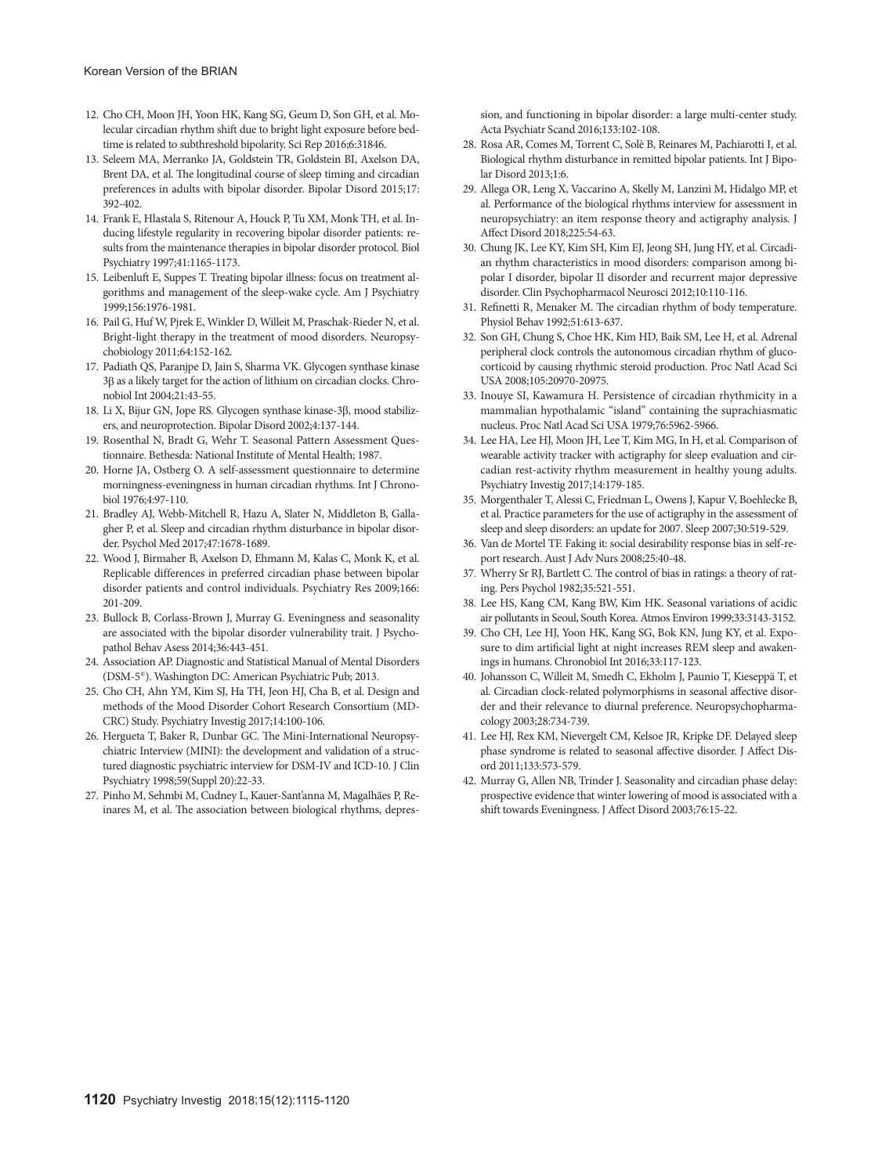- 12. Cho CH, Moon JH, Yoon HK, Kang SG, Geum D, Son GH, et al. Molecular circadian rhythm shift due to bright light exposure before bedtime is related to subthreshold bipolarity. Sci Rep 2016;6:31846.
- 13. Seleem MA, Merranko JA, Goldstein TR, Goldstein BI, Axelson DA, Brent DA, et al. The longitudinal course of sleep timing and circadian preferences in adults with bipolar disorder. Bipolar Disord 2015;17: 392-402.
- 14. Frank E, Hlastala S, Ritenour A, Houck P, Tu XM, Monk TH, et al. Inducing lifestyle regularity in recovering bipolar disorder patients: results from the maintenance therapies in bipolar disorder protocol. Biol Psychiatry 1997;41:1165-1173.
- 15. Leibenluft E, Suppes T. Treating bipolar illness: focus on treatment algorithms and management of the sleep-wake cycle. Am J Psychiatry 1999;156:1976-1981.
- 16. Pail G, Huf W, Pjrek E, Winkler D, Willeit M, Praschak-Rieder N, et al. Bright-light therapy in the treatment of mood disorders. Neuropsychobiology 2011;64:152-162.
- 17. Padiath QS, Paranjpe D, Jain S, Sharma VK. Glycogen synthase kinase 3β as a likely target for the action of lithium on circadian clocks. Chronobiol Int 2004;21:43-55.
- 18. Li X, Bijur GN, Jope RS. Glycogen synthase kinase-3β, mood stabilizers, and neuroprotection. Bipolar Disord 2002;4:137-144.
- 19. Rosenthal N, Bradt G, Wehr T. Seasonal Pattern Assessment Questionnaire. Bethesda: National Institute of Mental Health; 1987.
- 20. Horne JA, Ostberg O. A self-assessment questionnaire to determine morningness-eveningness in human circadian rhythms. Int J Chronobiol 1976;4:97-110.
- 21. Bradley AJ, Webb-Mitchell R, Hazu A, Slater N, Middleton B, Gallagher P, et al. Sleep and circadian rhythm disturbance in bipolar disorder. Psychol Med 2017;47:1678-1689.
- 22. Wood J, Birmaher B, Axelson D, Ehmann M, Kalas C, Monk K, et al. Replicable differences in preferred circadian phase between bipolar disorder patients and control individuals. Psychiatry Res 2009;166: 201-209.
- 23. Bullock B, Corlass-Brown J, Murray G. Eveningness and seasonality are associated with the bipolar disorder vulnerability trait. J Psychopathol Behav Asess 2014;36:443-451.
- 24. Association AP. Diagnostic and Statistical Manual of Mental Disorders (DSM-5®). Washington DC: American Psychiatric Pub; 2013.
- 25. Cho CH, Ahn YM, Kim SJ, Ha TH, Jeon HJ, Cha B, et al. Design and methods of the Mood Disorder Cohort Research Consortium (MD-CRC) Study. Psychiatry Investig 2017;14:100-106.
- 26. Hergueta T, Baker R, Dunbar GC. The Mini-International Neuropsychiatric Interview (MINI): the development and validation of a structured diagnostic psychiatric interview for DSM-IV and ICD-10. J Clin Psychiatry 1998;59(Suppl 20):22-33.
- 27. Pinho M, Sehmbi M, Cudney L, Kauer-Sant'anna M, Magalhães P, Reinares M, et al. The association between biological rhythms, depres-

sion, and functioning in bipolar disorder: a large multi-center study. Acta Psychiatr Scand 2016;133:102-108.

- 28. Rosa AR, Comes M, Torrent C, Solè B, Reinares M, Pachiarotti I, et al. Biological rhythm disturbance in remitted bipolar patients. Int J Bipolar Disord 2013;1:6.
- 29. Allega OR, Leng X, Vaccarino A, Skelly M, Lanzini M, Hidalgo MP, et al. Performance of the biological rhythms interview for assessment in neuropsychiatry: an item response theory and actigraphy analysis. J Affect Disord 2018;225:54-63.
- 30. Chung JK, Lee KY, Kim SH, Kim EJ, Jeong SH, Jung HY, et al. Circadian rhythm characteristics in mood disorders: comparison among bipolar I disorder, bipolar II disorder and recurrent major depressive disorder. Clin Psychopharmacol Neurosci 2012;10:110-116.
- 31. Refinetti R, Menaker M. The circadian rhythm of body temperature. Physiol Behav 1992;51:613-637.
- 32. Son GH, Chung S, Choe HK, Kim HD, Baik SM, Lee H, et al. Adrenal peripheral clock controls the autonomous circadian rhythm of glucocorticoid by causing rhythmic steroid production. Proc Natl Acad Sci USA 2008;105:20970-20975.
- 33. Inouye SI, Kawamura H. Persistence of circadian rhythmicity in a mammalian hypothalamic "island" containing the suprachiasmatic nucleus. Proc Natl Acad Sci USA 1979;76:5962-5966.
- 34. Lee HA, Lee HJ, Moon JH, Lee T, Kim MG, In H, et al. Comparison of wearable activity tracker with actigraphy for sleep evaluation and circadian rest-activity rhythm measurement in healthy young adults. Psychiatry Investig 2017;14:179-185.
- 35. Morgenthaler T, Alessi C, Friedman L, Owens J, Kapur V, Boehlecke B, et al. Practice parameters for the use of actigraphy in the assessment of sleep and sleep disorders: an update for 2007. Sleep 2007;30:519-529.
- 36. Van de Mortel TF. Faking it: social desirability response bias in self-report research. Aust J Adv Nurs 2008;25:40-48.
- 37. Wherry Sr RJ, Bartlett C. The control of bias in ratings: a theory of rating. Pers Psychol 1982;35:521-551.
- 38. Lee HS, Kang CM, Kang BW, Kim HK. Seasonal variations of acidic air pollutants in Seoul, South Korea. Atmos Environ 1999;33:3143-3152.
- 39. Cho CH, Lee HJ, Yoon HK, Kang SG, Bok KN, Jung KY, et al. Exposure to dim artificial light at night increases REM sleep and awakenings in humans. Chronobiol Int 2016;33:117-123.
- 40. Johansson C, Willeit M, Smedh C, Ekholm J, Paunio T, Kieseppä T, et al. Circadian clock-related polymorphisms in seasonal affective disorder and their relevance to diurnal preference. Neuropsychopharmacology 2003;28:734-739.
- 41. Lee HJ, Rex KM, Nievergelt CM, Kelsoe JR, Kripke DF. Delayed sleep phase syndrome is related to seasonal affective disorder. J Affect Disord 2011;133:573-579.
- 42. Murray G, Allen NB, Trinder J. Seasonality and circadian phase delay: prospective evidence that winter lowering of mood is associated with a shift towards Eveningness. J Affect Disord 2003;76:15-22.